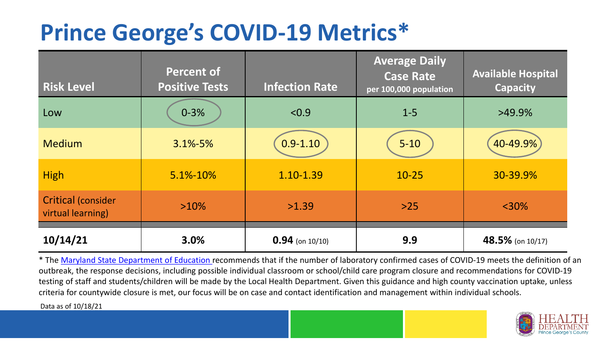## **Prince George's COVID-19 Metrics\***

| <b>Risk Level</b>                              | <b>Percent of</b><br><b>Positive Tests</b> | <b>Infection Rate</b> | <b>Average Daily</b><br><b>Case Rate</b><br>per 100,000 population | <b>Available Hospital</b><br><b>Capacity</b> |
|------------------------------------------------|--------------------------------------------|-----------------------|--------------------------------------------------------------------|----------------------------------------------|
| Low                                            | $0 - 3%$                                   | < 0.9                 | $1 - 5$                                                            | $>49.9\%$                                    |
| <b>Medium</b>                                  | $3.1\% - 5\%$                              | $0.9 - 1.10$          | $5 - 10$                                                           | 40-49.9%                                     |
| <b>High</b>                                    | 5.1%-10%                                   | 1.10-1.39             | $10 - 25$                                                          | 30-39.9%                                     |
| <b>Critical (consider</b><br>virtual learning) | $>10\%$                                    | >1.39                 | $>25$                                                              | $<$ 30%                                      |
| 10/14/21                                       | 3.0%                                       | $0.94$ (on 10/10)     | 9.9                                                                | 48.5% (on 10/17)                             |

\* The [Maryland State Department of Education r](https://earlychildhood.marylandpublicschools.org/system/files/filedepot/3/covid_guidance_full_080420.pdf)ecommends that if the number of laboratory confirmed cases of COVID-19 meets the definition of an outbreak, the response decisions, including possible individual classroom or school/child care program closure and recommendations for COVID-19 testing of staff and students/children will be made by the Local Health Department. Given this guidance and high county vaccination uptake, unless criteria for countywide closure is met, our focus will be on case and contact identification and management within individual schools.

Data as of 10/18/21

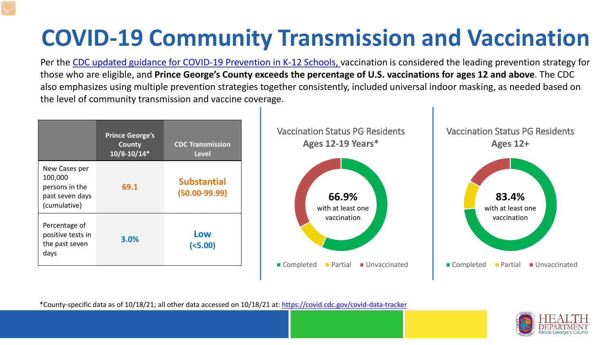# **COVID-19 Community Transmission and Vaccination**

Per the [CDC updated guidance for COVID-19 Prevention in K-12 Schools,](https://www.cdc.gov/coronavirus/2019-ncov/community/schools-childcare/k-12-guidance.html) vaccination is considered the leading prevention strategy for those who are eligible, and **Prince George's County exceeds the percentage of U.S. vaccinations for ages 12 and above**. The CDC also emphasizes using multiple prevention strategies together consistently, included universal indoor masking, as needed based on the level of community transmission and vaccine coverage.



\*County-specific data as of 10/18/21; all other data accessed on 10/18/21 at:<https://covid.cdc.gov/covid-data-tracker>

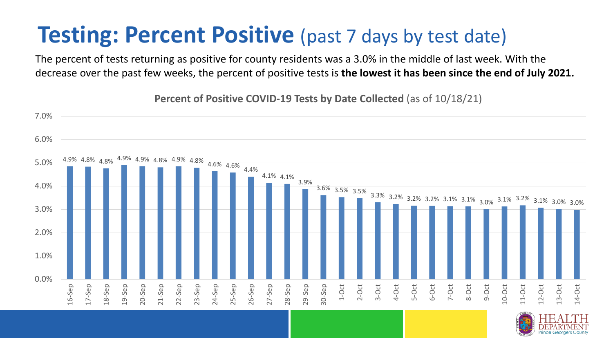### **Testing: Percent Positive** (past 7 days by test date)

The percent of tests returning as positive for county residents was a 3.0% in the middle of last week. With the decrease over the past few weeks, the percent of positive tests is **the lowest it has been since the end of July 2021.** 



**Percent of Positive COVID-19 Tests by Date Collected** (as of 10/18/21)

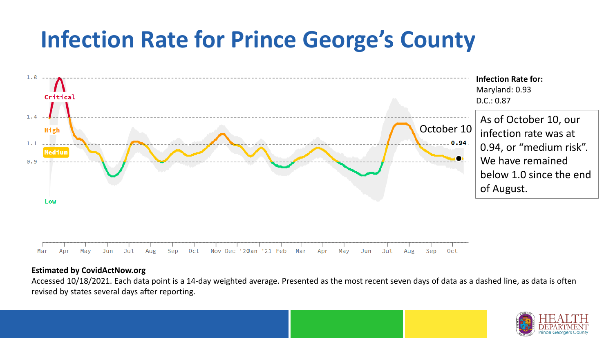## **Infection Rate for Prince George's County**



#### **Estimated by CovidActNow.org**

Accessed 10/18/2021. Each data point is a 14-day weighted average. Presented as the most recent seven days of data as a dashed line, as data is often revised by states several days after reporting.

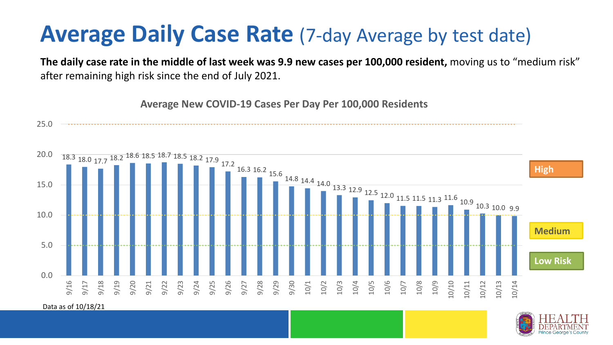### **Average Daily Case Rate** (7-day Average by test date)

**The daily case rate in the middle of last week was 9.9 new cases per 100,000 resident,** moving us to "medium risk" after remaining high risk since the end of July 2021.

**Average New COVID-19 Cases Per Day Per 100,000 Residents**





Data as of 10/18/21